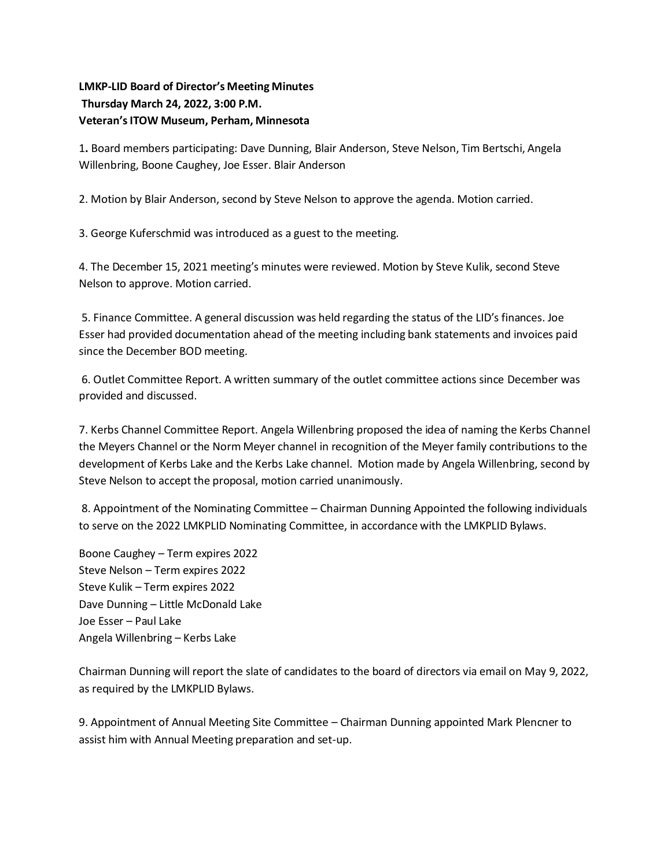## **LMKP-LID Board of Director's Meeting Minutes Thursday March 24, 2022, 3:00 P.M. Veteran's ITOW Museum, Perham, Minnesota**

1**.** Board members participating: Dave Dunning, Blair Anderson, Steve Nelson, Tim Bertschi, Angela Willenbring, Boone Caughey, Joe Esser. Blair Anderson

2. Motion by Blair Anderson, second by Steve Nelson to approve the agenda. Motion carried.

3. George Kuferschmid was introduced as a guest to the meeting.

4. The December 15, 2021 meeting's minutes were reviewed. Motion by Steve Kulik, second Steve Nelson to approve. Motion carried.

5. Finance Committee. A general discussion was held regarding the status of the LID's finances. Joe Esser had provided documentation ahead of the meeting including bank statements and invoices paid since the December BOD meeting.

6. Outlet Committee Report. A written summary of the outlet committee actions since December was provided and discussed.

7. Kerbs Channel Committee Report. Angela Willenbring proposed the idea of naming the Kerbs Channel the Meyers Channel or the Norm Meyer channel in recognition of the Meyer family contributions to the development of Kerbs Lake and the Kerbs Lake channel. Motion made by Angela Willenbring, second by Steve Nelson to accept the proposal, motion carried unanimously.

8. Appointment of the Nominating Committee – Chairman Dunning Appointed the following individuals to serve on the 2022 LMKPLID Nominating Committee, in accordance with the LMKPLID Bylaws.

Boone Caughey – Term expires 2022 Steve Nelson – Term expires 2022 Steve Kulik – Term expires 2022 Dave Dunning – Little McDonald Lake Joe Esser – Paul Lake Angela Willenbring – Kerbs Lake

Chairman Dunning will report the slate of candidates to the board of directors via email on May 9, 2022, as required by the LMKPLID Bylaws.

9. Appointment of Annual Meeting Site Committee – Chairman Dunning appointed Mark Plencner to assist him with Annual Meeting preparation and set-up.